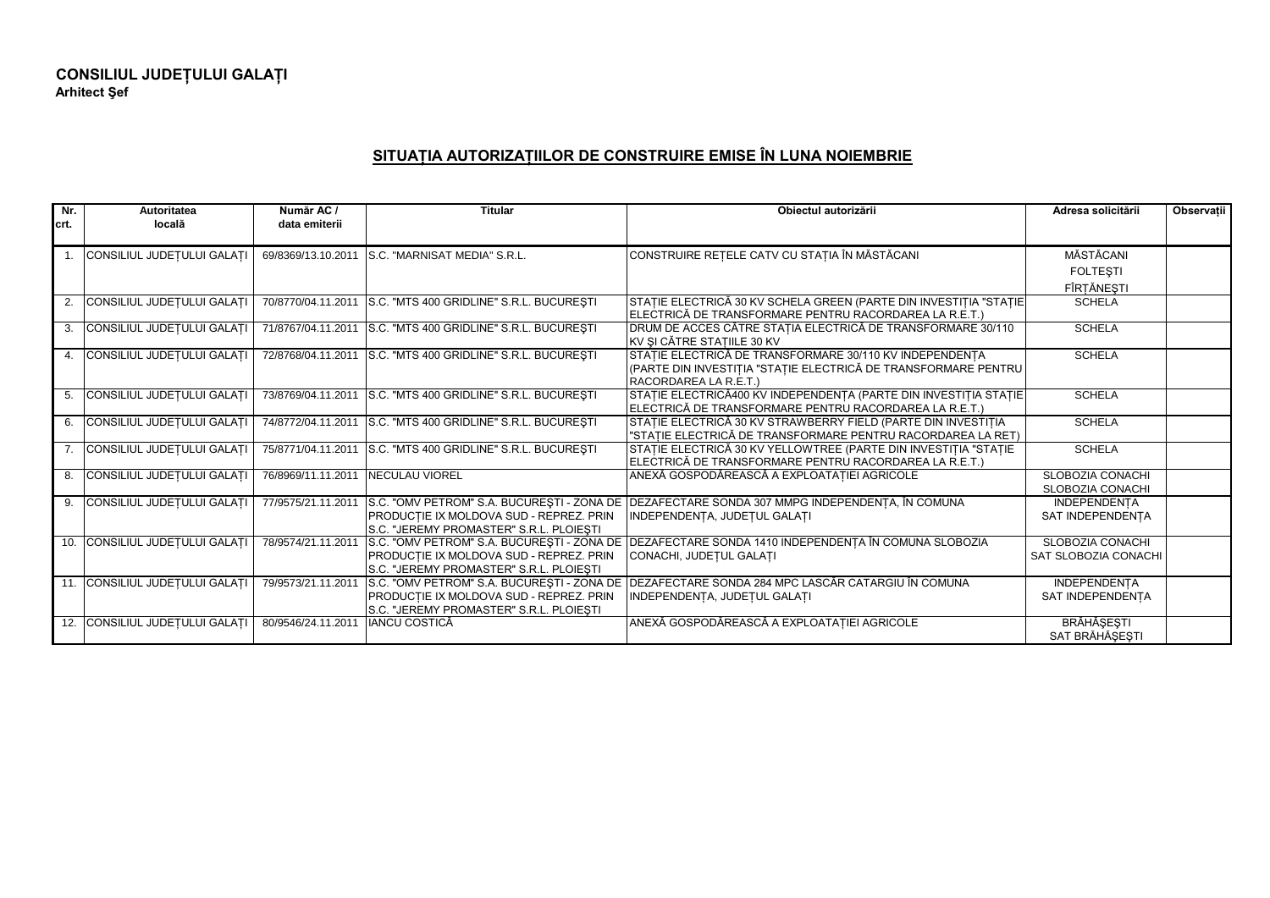## **SITUAŢIA AUTORIZAŢIILOR DE CONSTRUIRE EMISE ÎN LUNA NOIEMBRIE**

| Nr.  | Autoritatea                    | Număr AC /<br>data emiterii | <b>Titular</b>                                              | Obiectul autorizării                                                                              | Adresa solicitării      | <b>Observatii</b> |
|------|--------------------------------|-----------------------------|-------------------------------------------------------------|---------------------------------------------------------------------------------------------------|-------------------------|-------------------|
| crt. | locală                         |                             |                                                             |                                                                                                   |                         |                   |
|      | CONSILIUL JUDEȚULUI GALAȚ      | 69/8369/13.10.2011          | S.C. "MARNISAT MEDIA" S.R.L.                                | CONSTRUIRE REȚELE CATV CU STAȚIA ÎN MĂSTĂCANI                                                     | MĂSTĂCANI               |                   |
|      |                                |                             |                                                             |                                                                                                   | <b>FOLTESTI</b>         |                   |
|      |                                |                             |                                                             |                                                                                                   | FÎRȚĂNEȘTI              |                   |
|      | 2. CONSILIUL JUDEȚULUI GALAȚ   |                             | 70/8770/04.11.2011 S.C. "MTS 400 GRIDLINE" S.R.L. BUCUREŞTI | STAȚIE ELECTRICĂ 30 KV SCHELA GREEN (PARTE DIN INVESTIȚIA "STAȚIE                                 | <b>SCHELA</b>           |                   |
|      |                                |                             |                                                             | ELECTRICĂ DE TRANSFORMARE PENTRU RACORDAREA LA R.E.T.)                                            |                         |                   |
|      | 3. CONSILIUL JUDEȚULUI GALAȚ   |                             | 71/8767/04.11.2011 S.C. "MTS 400 GRIDLINE" S.R.L. BUCURESTI | DRUM DE ACCES CĂTRE STAȚIA ELECTRICĂ DE TRANSFORMARE 30/110                                       | <b>SCHELA</b>           |                   |
|      | 4. CONSILIUL JUDEȚULUI GALAȚI  |                             | 72/8768/04.11.2011 S.C. "MTS 400 GRIDLINE" S.R.L. BUCUREŞTI | KV SI CĂTRE STATIILE 30 KV<br>STATIE ELECTRICĂ DE TRANSFORMARE 30/110 KV INDEPENDENȚA             | <b>SCHELA</b>           |                   |
|      |                                |                             |                                                             | (PARTE DIN INVESTIȚIA "STAȚIE ELECTRICĂ DE TRANSFORMARE PENTRU                                    |                         |                   |
|      |                                |                             |                                                             | RACORDAREA LA R.E.T.)                                                                             |                         |                   |
|      | 5. CONSILIUL JUDEȚULUI GALAȚ   | 73/8769/04.11.2011          | S.C. "MTS 400 GRIDLINE" S.R.L. BUCURESTI                    | STAȚIE ELECTRICĂ400 KV INDEPENDENȚA (PARTE DIN INVESTIȚIA STAȚIE                                  | <b>SCHELA</b>           |                   |
|      |                                |                             |                                                             | ELECTRICĂ DE TRANSFORMARE PENTRU RACORDAREA LA R.E.T.)                                            |                         |                   |
|      | 6. CONSILIUL JUDETULUI GALAT   |                             | 74/8772/04.11.2011 S.C. "MTS 400 GRIDLINE" S.R.L. BUCURESTI | STATIE ELECTRICĂ 30 KV STRAWBERRY FIELD (PARTE DIN INVESTITIA                                     | <b>SCHELA</b>           |                   |
|      |                                |                             |                                                             | "STAȚIE ELECTRICĂ DE TRANSFORMARE PENTRU RACORDAREA LA RET)                                       |                         |                   |
|      | 7. CONSILIUL JUDEȚULUI GALAȚ   | 75/8771/04.11.2011          | S.C. "MTS 400 GRIDLINE" S.R.L. BUCURESTI                    | STAȚIE ELECTRICĂ 30 KV YELLOWTREE (PARTE DIN INVESTIȚIA "STAȚIE                                   | <b>SCHELA</b>           |                   |
|      |                                |                             |                                                             | ELECTRICĂ DE TRANSFORMARE PENTRU RACORDAREA LA R.E.T.)                                            |                         |                   |
|      | 8. CONSILIUL JUDEȚULUI GALAȚ   | 76/8969/11.11.2011          | <b>NECULAU VIOREL</b>                                       | ANEXĂ GOSPODĂREASCĂ A EXPLOATAȚIEI AGRICOLE                                                       | <b>SLOBOZIA CONACHI</b> |                   |
|      |                                |                             |                                                             |                                                                                                   | <b>SLOBOZIA CONACHI</b> |                   |
|      | 9. CONSILIUL JUDETULUI GALAT   | 77/9575/21.11.2011          |                                                             | S.C. "OMV PETROM" S.A. BUCUREȘTI - ZONA DE DEZAFECTARE SONDA 307 MMPG INDEPENDENȚA, ÎN COMUNA     | <b>INDEPENDENTA</b>     |                   |
|      |                                |                             | PRODUCȚIE IX MOLDOVA SUD - REPREZ. PRIN                     | INDEPENDENTA, JUDETUL GALATI                                                                      | SAT INDEPENDENTA        |                   |
|      |                                |                             | S.C. "JEREMY PROMASTER" S.R.L. PLOIESTI                     |                                                                                                   |                         |                   |
|      | 10. CONSILIUL JUDEȚULUI GALAȚ  | 78/9574/21.11.2011          |                                                             | S.C. "OMV PETROM" S.A. BUCUREȘTI - ZONA DE DEZAFECTARE SONDA 1410 INDEPENDENȚA ÎN COMUNA SLOBOZIA | <b>SLOBOZIA CONACHI</b> |                   |
|      |                                |                             | PRODUCTIE IX MOLDOVA SUD - REPREZ. PRIN                     | CONACHI, JUDETUL GALATI                                                                           | SAT SLOBOZIA CONACHI    |                   |
|      | 11. CONSILIUL JUDETULUI GALAT  | 79/9573/21.11.2011          | S.C. "JEREMY PROMASTER" S.R.L. PLOIESTI                     | S.C. "OMV PETROM" S.A. BUCUREȘTI - ZONA DE   DEZAFECTARE SONDA 284 MPC LASCĂR CATARGIU ÎN COMUNA  | <b>INDEPENDENTA</b>     |                   |
|      |                                |                             | PRODUCȚIE IX MOLDOVA SUD - REPREZ. PRIN                     | INDEPENDENTA, JUDETUL GALATI                                                                      | SAT INDEPENDENTA        |                   |
|      |                                |                             | S.C. "JEREMY PROMASTER" S.R.L. PLOIESTI                     |                                                                                                   |                         |                   |
|      | 12. CONSILIUL JUDEȚULUI GALAȚI | 80/9546/24.11.2011          | <b>IANCU COSTICĂ</b>                                        | ANEXĂ GOSPODĂREASCĂ A EXPLOATAȚIEI AGRICOLE                                                       | <b>BRĂHĂȘEȘTI</b>       |                   |
|      |                                |                             |                                                             |                                                                                                   | SAT BRĂHĂSESTI          |                   |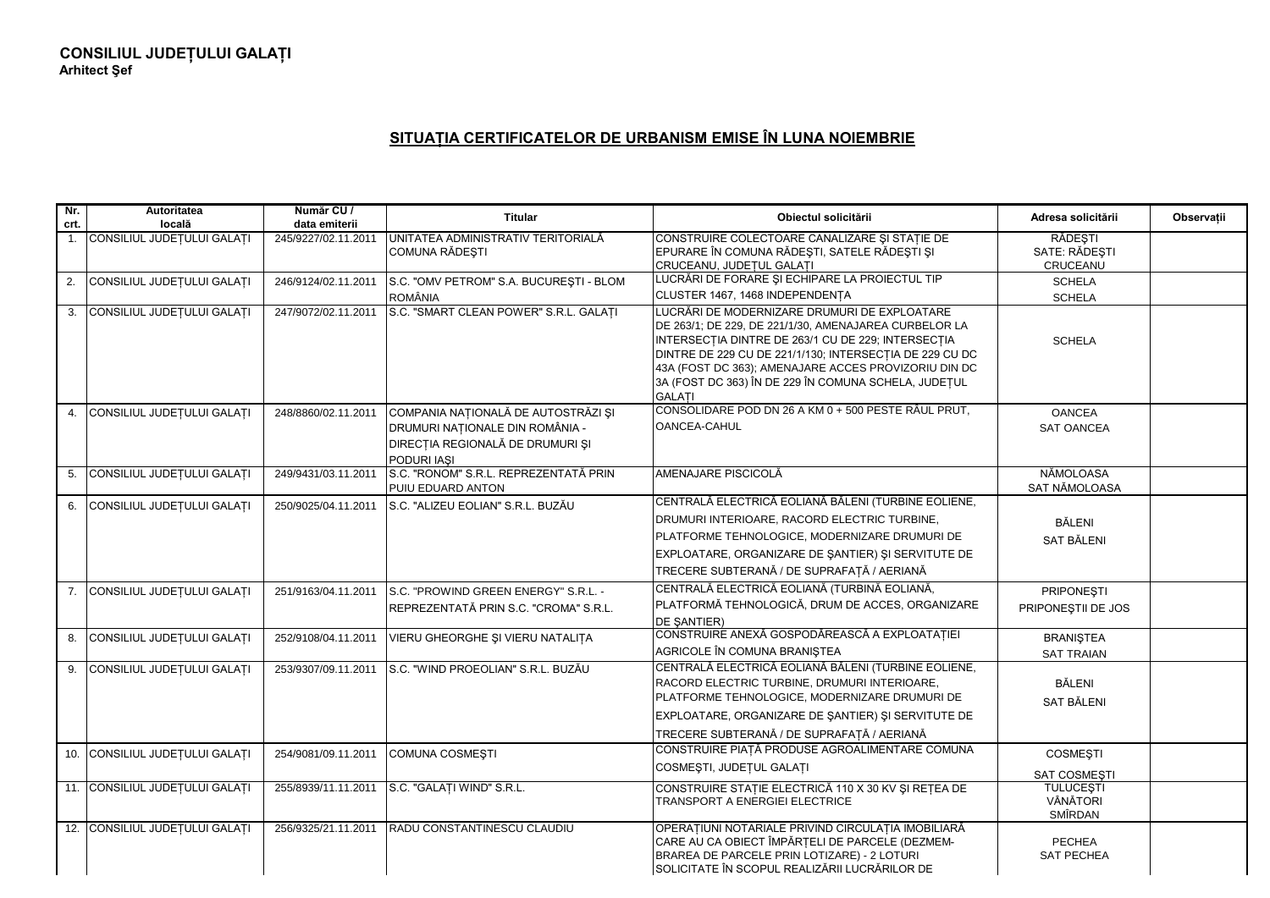## **SITUAŢIA CERTIFICATELOR DE URBANISM EMISE ÎN LUNA NOIEMBRIE**

| Nr.<br>crt. | Autoritatea<br>locală          | Număr CU /<br>data emiterii | <b>Titular</b>                                                                                                            | Obiectul solicitării                                                                                                                                                                                                                                                                                                                                                                       | Adresa solicitării                      | Observatii |
|-------------|--------------------------------|-----------------------------|---------------------------------------------------------------------------------------------------------------------------|--------------------------------------------------------------------------------------------------------------------------------------------------------------------------------------------------------------------------------------------------------------------------------------------------------------------------------------------------------------------------------------------|-----------------------------------------|------------|
|             | 1. CONSILIUL JUDEȚULUI GALAȚI  | 245/9227/02.11.2011         | UNITATEA ADMINISTRATIV TERITORIALĂ<br>COMUNA RĂDEȘTI                                                                      | CONSTRUIRE COLECTOARE CANALIZARE SI STATIE DE<br>EPURARE ÎN COMUNA RĂDEȘTI, SATELE RĂDEȘTI ȘI<br>CRUCEANU, JUDEȚUL GALAȚI                                                                                                                                                                                                                                                                  | RĂDESTI<br>SATE: RĂDESTI<br>CRUCEANU    |            |
| 2.          | CONSILIUL JUDEȚULUI GALAȚI     | 246/9124/02.11.2011         | S.C. "OMV PETROM" S.A. BUCURESTI - BLOM                                                                                   | LUCRĂRI DE FORARE ȘI ECHIPARE LA PROIECTUL TIP                                                                                                                                                                                                                                                                                                                                             | <b>SCHELA</b>                           |            |
|             | 3. CONSILIUL JUDEȚULUI GALAȚI  | 247/9072/02.11.2011         | <b>ROMÂNIA</b><br>S.C. "SMART CLEAN POWER" S.R.L. GALATI                                                                  | CLUSTER 1467, 1468 INDEPENDENTA<br>LUCRĂRI DE MODERNIZARE DRUMURI DE EXPLOATARE<br>DE 263/1; DE 229, DE 221/1/30, AMENAJAREA CURBELOR LA<br>INTERSECȚIA DINTRE DE 263/1 CU DE 229; INTERSECȚIA<br>DINTRE DE 229 CU DE 221/1/130; INTERSECTIA DE 229 CU DC<br>43A (FOST DC 363); AMENAJARE ACCES PROVIZORIU DIN DC<br>3A (FOST DC 363) ÎN DE 229 ÎN COMUNA SCHELA, JUDEȚUL<br><b>GALATI</b> | <b>SCHELA</b><br><b>SCHELA</b>          |            |
| 4.          | CONSILIUL JUDEȚULUI GALAȚI     | 248/8860/02.11.2011         | COMPANIA NAȚIONALĂ DE AUTOSTRĂZI ȘI<br>DRUMURI NAȚIONALE DIN ROMÂNIA -<br>DIRECȚIA REGIONALĂ DE DRUMURI ȘI<br>PODURI IASI | CONSOLIDARE POD DN 26 A KM 0 + 500 PESTE RÂUL PRUT,<br>OANCEA-CAHUL                                                                                                                                                                                                                                                                                                                        | <b>OANCEA</b><br><b>SAT OANCEA</b>      |            |
|             | 5. CONSILIUL JUDEȚULUI GALAȚI  | 249/9431/03.11.2011         | S.C. "RONOM" S.R.L. REPREZENTATĂ PRIN<br>PUIU EDUARD ANTON                                                                | AMENAJARE PISCICOLĂ                                                                                                                                                                                                                                                                                                                                                                        | NĂMOLOASA<br>SAT NĂMOLOASA              |            |
|             | 6. CONSILIUL JUDEȚULUI GALAȚI  | 250/9025/04.11.2011         | S.C. "ALIZEU EOLIAN" S.R.L. BUZĂU                                                                                         | CENTRALĂ ELECTRICĂ EOLIANĂ BĂLENI (TURBINE EOLIENE,<br>DRUMURI INTERIOARE, RACORD ELECTRIC TURBINE,<br>PLATFORME TEHNOLOGICE, MODERNIZARE DRUMURI DE<br>EXPLOATARE, ORGANIZARE DE ŞANTIER) ȘI SERVITUTE DE<br>TRECERE SUBTERANĂ / DE SUPRAFAȚĂ / AERIANĂ                                                                                                                                   | <b>BĂLENI</b><br>SAT BĂLENI             |            |
|             | 7. CONSILIUL JUDETULUI GALATI  | 251/9163/04.11.2011         | S.C. "PROWIND GREEN ENERGY" S.R.L. -<br>REPREZENTATĂ PRIN S.C. "CROMA" S.R.L.                                             | CENTRALĂ ELECTRICĂ EOLIANĂ (TURBINĂ EOLIANĂ,<br>PLATFORMĂ TEHNOLOGICĂ, DRUM DE ACCES, ORGANIZARE<br><b>DE SANTIER)</b>                                                                                                                                                                                                                                                                     | <b>PRIPONESTI</b><br>PRIPONESTII DE JOS |            |
|             | 8. CONSILIUL JUDEȚULUI GALAȚI  | 252/9108/04.11.2011         | VIERU GHEORGHE ȘI VIERU NATALIȚA                                                                                          | CONSTRUIRE ANEXĂ GOSPODĂREASCĂ A EXPLOATAȚIEI<br>AGRICOLE ÎN COMUNA BRANIȘTEA                                                                                                                                                                                                                                                                                                              | <b>BRANISTEA</b><br><b>SAT TRAIAN</b>   |            |
|             | 9. CONSILIUL JUDEȚULUI GALAȚI  | 253/9307/09.11.2011         | S.C. "WIND PROEOLIAN" S.R.L. BUZĂU                                                                                        | CENTRALĂ ELECTRICĂ EOLIANĂ BĂLENI (TURBINE EOLIENE,<br>RACORD ELECTRIC TURBINE, DRUMURI INTERIOARE.<br>PLATFORME TEHNOLOGICE, MODERNIZARE DRUMURI DE<br>EXPLOATARE, ORGANIZARE DE SANTIER) SI SERVITUTE DE<br>TRECERE SUBTERANĂ / DE SUPRAFATĂ / AERIANĂ                                                                                                                                   | BĂLENI<br>SAT BĂLENI                    |            |
|             | 10. CONSILIUL JUDEȚULUI GALAȚI | 254/9081/09.11.2011         | <b>COMUNA COSMESTI</b>                                                                                                    | CONSTRUIRE PIAȚĂ PRODUSE AGROALIMENTARE COMUNA<br>COSMESTI, JUDETUL GALATI                                                                                                                                                                                                                                                                                                                 | <b>COSMESTI</b><br>SAT COSMESTI         |            |
|             | 11. CONSILIUL JUDEȚULUI GALAȚI | 255/8939/11.11.2011         | S.C. "GALATI WIND" S.R.L.                                                                                                 | CONSTRUIRE STAȚIE ELECTRICĂ 110 X 30 KV ȘI REȚEA DE<br><b>TRANSPORT A ENERGIEI ELECTRICE</b>                                                                                                                                                                                                                                                                                               | <b>TULUCESTI</b><br>VÂNĂTORI<br>SMÎRDAN |            |
|             | 12. CONSILIUL JUDEȚULUI GALAȚI | 256/9325/21.11.2011         | <b>RADU CONSTANTINESCU CLAUDIU</b>                                                                                        | OPERAȚIUNI NOTARIALE PRIVIND CIRCULAȚIA IMOBILIARĂ<br>CARE AU CA OBIECT ÎMPĂRȚELI DE PARCELE (DEZMEM-<br>BRAREA DE PARCELE PRIN LOTIZARE) - 2 LOTURI<br>SOLICITATE ÎN SCOPUL REALIZĂRII LUCRĂRILOR DE                                                                                                                                                                                      | <b>PECHEA</b><br><b>SAT PECHEA</b>      |            |